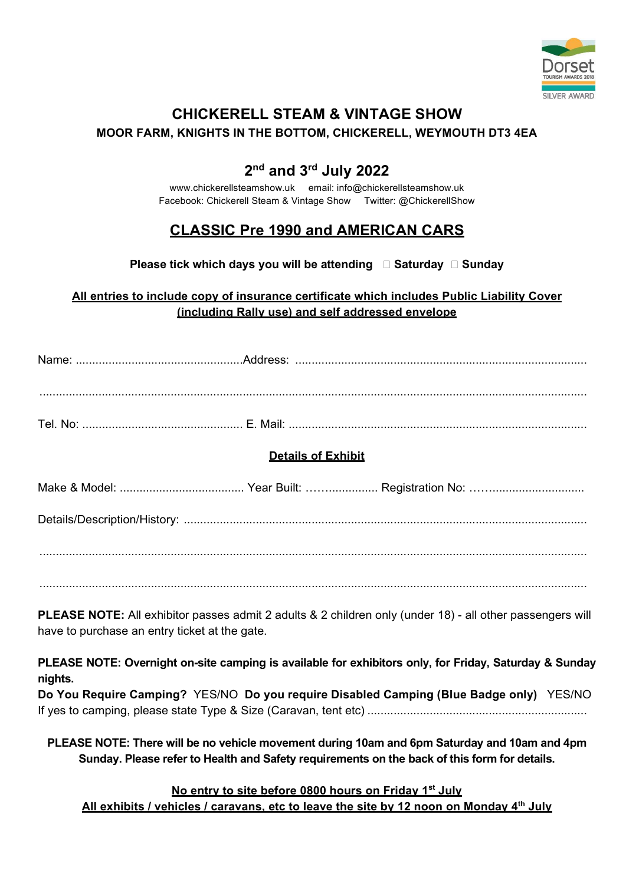

## CHICKERELL STEAM & VINTAGE SHOW MOOR FARM, KNIGHTS IN THE BOTTOM, CHICKERELL, WEYMOUTH DT3 4EA

## 2<sup>nd</sup> and 3<sup>rd</sup> July 2022

www.chickerellsteamshow.uk email: info@chickerellsteamshow.uk Facebook: Chickerell Steam & Vintage Show Twitter: @ChickerellShow

# CLASSIC Pre 1990 and AMERICAN CARS

Please tick which days you will be attending  $\Box$  Saturday  $\Box$  Sunday

## All entries to include copy of insurance certificate which includes Public Liability Cover (including Rally use) and self addressed envelope

| Name: |  |
|-------|--|
|       |  |
|       |  |
|       |  |
|       |  |

....................................................................................................................................................................... Tel. No: ................................................. E. Mail: ...........................................................................................

## Details of Exhibit

| Make<br>Model: ∆ د Mo | Registration No: …………………………… |
|-----------------------|------------------------------|
|                       |                              |

Details/Description/History: ...........................................................................................................................

.......................................................................................................................................................................

.......................................................................................................................................................................

PLEASE NOTE: All exhibitor passes admit 2 adults & 2 children only (under 18) - all other passengers will have to purchase an entry ticket at the gate.

PLEASE NOTE: Overnight on-site camping is available for exhibitors only, for Friday, Saturday & Sunday nights.

Do You Require Camping? YES/NO Do you require Disabled Camping (Blue Badge only) YES/NO If yes to camping, please state Type & Size (Caravan, tent etc) ...................................................................

PLEASE NOTE: There will be no vehicle movement during 10am and 6pm Saturday and 10am and 4pm Sunday. Please refer to Health and Safety requirements on the back of this form for details.

No entry to site before 0800 hours on Friday 1<sup>st</sup> July

All exhibits / vehicles / caravans, etc to leave the site by 12 noon on Monday  $4<sup>th</sup>$  July